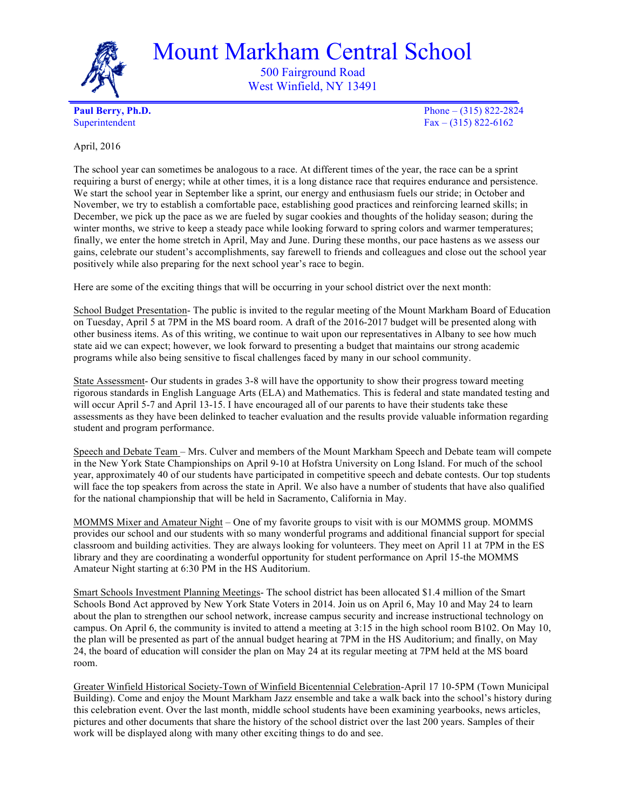

Mount Markham Central School

500 Fairground Road West Winfield, NY 13491

**Paul Berry, Ph.D.** Phone – (315) 822-2824 Superintendent  $Fax - (315) 822-6162$ 

April, 2016

The school year can sometimes be analogous to a race. At different times of the year, the race can be a sprint requiring a burst of energy; while at other times, it is a long distance race that requires endurance and persistence. We start the school year in September like a sprint, our energy and enthusiasm fuels our stride; in October and November, we try to establish a comfortable pace, establishing good practices and reinforcing learned skills; in December, we pick up the pace as we are fueled by sugar cookies and thoughts of the holiday season; during the winter months, we strive to keep a steady pace while looking forward to spring colors and warmer temperatures; finally, we enter the home stretch in April, May and June. During these months, our pace hastens as we assess our gains, celebrate our student's accomplishments, say farewell to friends and colleagues and close out the school year positively while also preparing for the next school year's race to begin.

Here are some of the exciting things that will be occurring in your school district over the next month:

School Budget Presentation- The public is invited to the regular meeting of the Mount Markham Board of Education on Tuesday, April 5 at 7PM in the MS board room. A draft of the 2016-2017 budget will be presented along with other business items. As of this writing, we continue to wait upon our representatives in Albany to see how much state aid we can expect; however, we look forward to presenting a budget that maintains our strong academic programs while also being sensitive to fiscal challenges faced by many in our school community.

State Assessment- Our students in grades 3-8 will have the opportunity to show their progress toward meeting rigorous standards in English Language Arts (ELA) and Mathematics. This is federal and state mandated testing and will occur April 5-7 and April 13-15. I have encouraged all of our parents to have their students take these assessments as they have been delinked to teacher evaluation and the results provide valuable information regarding student and program performance.

Speech and Debate Team – Mrs. Culver and members of the Mount Markham Speech and Debate team will compete in the New York State Championships on April 9-10 at Hofstra University on Long Island. For much of the school year, approximately 40 of our students have participated in competitive speech and debate contests. Our top students will face the top speakers from across the state in April. We also have a number of students that have also qualified for the national championship that will be held in Sacramento, California in May.

MOMMS Mixer and Amateur Night – One of my favorite groups to visit with is our MOMMS group. MOMMS provides our school and our students with so many wonderful programs and additional financial support for special classroom and building activities. They are always looking for volunteers. They meet on April 11 at 7PM in the ES library and they are coordinating a wonderful opportunity for student performance on April 15-the MOMMS Amateur Night starting at 6:30 PM in the HS Auditorium.

Smart Schools Investment Planning Meetings- The school district has been allocated \$1.4 million of the Smart Schools Bond Act approved by New York State Voters in 2014. Join us on April 6, May 10 and May 24 to learn about the plan to strengthen our school network, increase campus security and increase instructional technology on campus. On April 6, the community is invited to attend a meeting at 3:15 in the high school room B102. On May 10, the plan will be presented as part of the annual budget hearing at 7PM in the HS Auditorium; and finally, on May 24, the board of education will consider the plan on May 24 at its regular meeting at 7PM held at the MS board room.

Greater Winfield Historical Society-Town of Winfield Bicentennial Celebration-April 17 10-5PM (Town Municipal Building). Come and enjoy the Mount Markham Jazz ensemble and take a walk back into the school's history during this celebration event. Over the last month, middle school students have been examining yearbooks, news articles, pictures and other documents that share the history of the school district over the last 200 years. Samples of their work will be displayed along with many other exciting things to do and see.